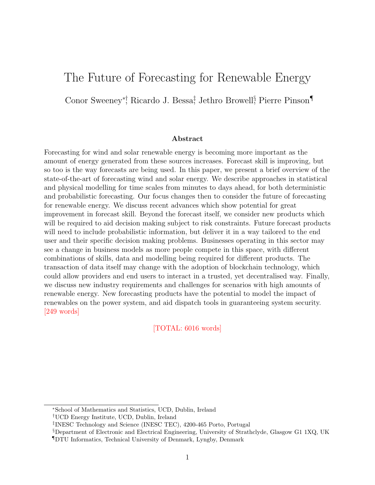# The Future of Forecasting for Renewable Energy

Conor Sweeney<sup>∗†</sup>, Ricardo J. Bessa<sup>‡</sup>, Jethro Browell<sup>§</sup>, Pierre Pinson¶

#### Abstract

Forecasting for wind and solar renewable energy is becoming more important as the amount of energy generated from these sources increases. Forecast skill is improving, but so too is the way forecasts are being used. In this paper, we present a brief overview of the state-of-the-art of forecasting wind and solar energy. We describe approaches in statistical and physical modelling for time scales from minutes to days ahead, for both deterministic and probabilistic forecasting. Our focus changes then to consider the future of forecasting for renewable energy. We discuss recent advances which show potential for great improvement in forecast skill. Beyond the forecast itself, we consider new products which will be required to aid decision making subject to risk constraints. Future forecast products will need to include probabilistic information, but deliver it in a way tailored to the end user and their specific decision making problems. Businesses operating in this sector may see a change in business models as more people compete in this space, with different combinations of skills, data and modelling being required for different products. The transaction of data itself may change with the adoption of blockchain technology, which could allow providers and end users to interact in a trusted, yet decentralised way. Finally, we discuss new industry requirements and challenges for scenarios with high amounts of renewable energy. New forecasting products have the potential to model the impact of renewables on the power system, and aid dispatch tools in guaranteeing system security. [249 words]

### [TOTAL: 6016 words]

<sup>∗</sup>School of Mathematics and Statistics, UCD, Dublin, Ireland

<sup>†</sup>UCD Energy Institute, UCD, Dublin, Ireland

<sup>‡</sup> INESC Technology and Science (INESC TEC), 4200-465 Porto, Portugal

<sup>§</sup>Department of Electronic and Electrical Engineering, University of Strathclyde, Glasgow G1 1XQ, UK

<sup>¶</sup>DTU Informatics, Technical University of Denmark, Lyngby, Denmark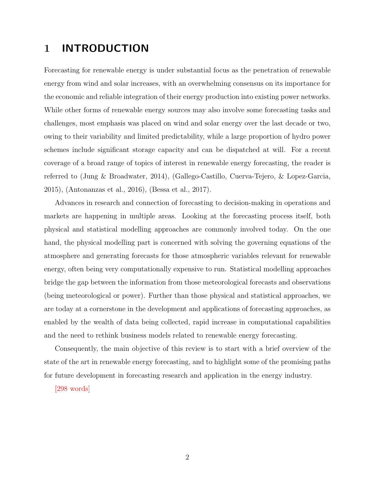# 1 INTRODUCTION

Forecasting for renewable energy is under substantial focus as the penetration of renewable energy from wind and solar increases, with an overwhelming consensus on its importance for the economic and reliable integration of their energy production into existing power networks. While other forms of renewable energy sources may also involve some forecasting tasks and challenges, most emphasis was placed on wind and solar energy over the last decade or two, owing to their variability and limited predictability, while a large proportion of hydro power schemes include significant storage capacity and can be dispatched at will. For a recent coverage of a broad range of topics of interest in renewable energy forecasting, the reader is referred to [\(Jung & Broadwater,](#page-25-0) [2014\)](#page-25-0), [\(Gallego-Castillo, Cuerva-Tejero, & Lopez-Garcia,](#page-23-0) [2015\)](#page-23-0), [\(Antonanzas et al.,](#page-21-0) [2016\)](#page-21-0), [\(Bessa et al.,](#page-21-1) [2017\)](#page-21-1).

Advances in research and connection of forecasting to decision-making in operations and markets are happening in multiple areas. Looking at the forecasting process itself, both physical and statistical modelling approaches are commonly involved today. On the one hand, the physical modelling part is concerned with solving the governing equations of the atmosphere and generating forecasts for those atmospheric variables relevant for renewable energy, often being very computationally expensive to run. Statistical modelling approaches bridge the gap between the information from those meteorological forecasts and observations (being meteorological or power). Further than those physical and statistical approaches, we are today at a cornerstone in the development and applications of forecasting approaches, as enabled by the wealth of data being collected, rapid increase in computational capabilities and the need to rethink business models related to renewable energy forecasting.

Consequently, the main objective of this review is to start with a brief overview of the state of the art in renewable energy forecasting, and to highlight some of the promising paths for future development in forecasting research and application in the energy industry.

[298 words]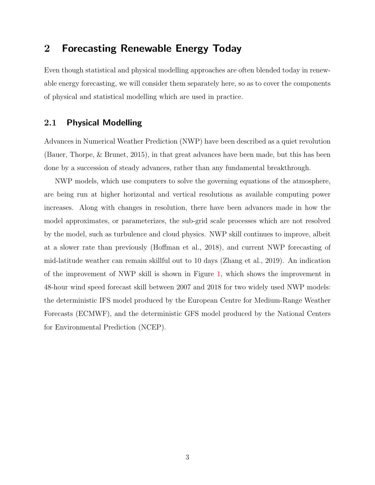### 2 Forecasting Renewable Energy Today

Even though statistical and physical modelling approaches are often blended today in renewable energy forecasting, we will consider them separately here, so as to cover the components of physical and statistical modelling which are used in practice.

### 2.1 Physical Modelling

Advances in Numerical Weather Prediction (NWP) have been described as a quiet revolution [\(Bauer, Thorpe, & Brunet,](#page-21-2) [2015\)](#page-21-2), in that great advances have been made, but this has been done by a succession of steady advances, rather than any fundamental breakthrough.

NWP models, which use computers to solve the governing equations of the atmosphere, are being run at higher horizontal and vertical resolutions as available computing power increases. Along with changes in resolution, there have been advances made in how the model approximates, or parameterizes, the sub-grid scale processes which are not resolved by the model, such as turbulence and cloud physics. NWP skill continues to improve, albeit at a slower rate than previously [\(Hoffman et al.,](#page-24-0) [2018\)](#page-24-0), and current NWP forecasting of mid-latitude weather can remain skillful out to 10 days [\(Zhang et al.,](#page-29-0) [2019\)](#page-29-0). An indication of the improvement of NWP skill is shown in Figure [1,](#page-3-0) which shows the improvement in 48-hour wind speed forecast skill between 2007 and 2018 for two widely used NWP models: the deterministic IFS model produced by the European Centre for Medium-Range Weather Forecasts (ECMWF), and the deterministic GFS model produced by the National Centers for Environmental Prediction (NCEP).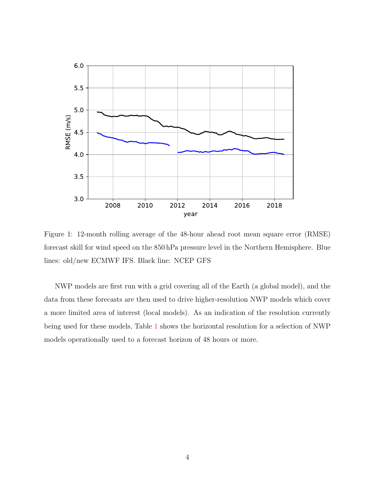<span id="page-3-0"></span>

Figure 1: 12-month rolling average of the 48-hour ahead root mean square error (RMSE) forecast skill for wind speed on the 850 hPa pressure level in the Northern Hemisphere. Blue lines: old/new ECMWF IFS. Black line: NCEP GFS

NWP models are first run with a grid covering all of the Earth (a global model), and the data from these forecasts are then used to drive higher-resolution NWP models which cover a more limited area of interest (local models). As an indication of the resolution currently being used for these models, Table [1](#page-4-0) shows the horizontal resolution for a selection of NWP models operationally used to a forecast horizon of 48 hours or more.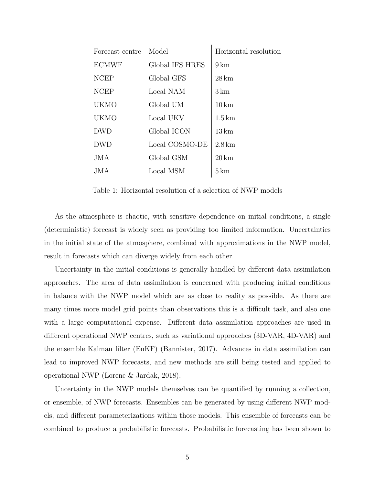<span id="page-4-0"></span>

| Forecast centre | Model           | Horizontal resolution |
|-----------------|-----------------|-----------------------|
| <b>ECMWF</b>    | Global IFS HRES | $9 \,\mathrm{km}$     |
| <b>NCEP</b>     | Global GFS      | 28 km                 |
| <b>NCEP</b>     | Local NAM       | $3 \,\mathrm{km}$     |
| UKMO            | Global UM       | $10 \mathrm{km}$      |
| <b>UKMO</b>     | Local UKV       | $1.5 \mathrm{km}$     |
| <b>DWD</b>      | Global ICON     | $13 \mathrm{km}$      |
| <b>DWD</b>      | Local COSMO-DE  | $2.8 \mathrm{km}$     |
| JMA             | Global GSM      | $20 \mathrm{km}$      |
| JMA.            | Local MSM       | $5 \,\mathrm{km}$     |

Table 1: Horizontal resolution of a selection of NWP models

As the atmosphere is chaotic, with sensitive dependence on initial conditions, a single (deterministic) forecast is widely seen as providing too limited information. Uncertainties in the initial state of the atmosphere, combined with approximations in the NWP model, result in forecasts which can diverge widely from each other.

Uncertainty in the initial conditions is generally handled by different data assimilation approaches. The area of data assimilation is concerned with producing initial conditions in balance with the NWP model which are as close to reality as possible. As there are many times more model grid points than observations this is a difficult task, and also one with a large computational expense. Different data assimilation approaches are used in different operational NWP centres, such as variational approaches (3D-VAR, 4D-VAR) and the ensemble Kalman filter (EnKF) [\(Bannister,](#page-21-3) [2017\)](#page-21-3). Advances in data assimilation can lead to improved NWP forecasts, and new methods are still being tested and applied to operational NWP [\(Lorenc & Jardak,](#page-26-0) [2018\)](#page-26-0).

Uncertainty in the NWP models themselves can be quantified by running a collection, or ensemble, of NWP forecasts. Ensembles can be generated by using different NWP models, and different parameterizations within those models. This ensemble of forecasts can be combined to produce a probabilistic forecasts. Probabilistic forecasting has been shown to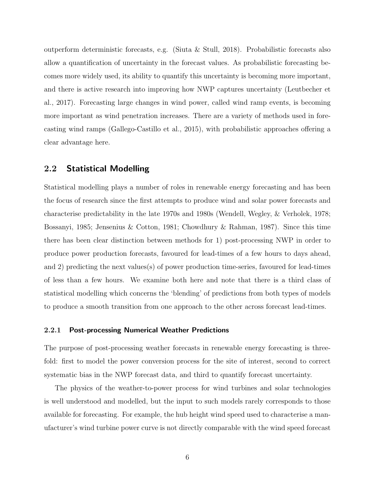outperform deterministic forecasts, e.g. [\(Siuta & Stull,](#page-28-0) [2018\)](#page-28-0). Probabilistic forecasts also allow a quantification of uncertainty in the forecast values. As probabilistic forecasting becomes more widely used, its ability to quantify this uncertainty is becoming more important, and there is active research into improving how NWP captures uncertainty [\(Leutbecher et](#page-25-1) [al.,](#page-25-1) [2017\)](#page-25-1). Forecasting large changes in wind power, called wind ramp events, is becoming more important as wind penetration increases. There are a variety of methods used in forecasting wind ramps [\(Gallego-Castillo et al.,](#page-23-0) [2015\)](#page-23-0), with probabilistic approaches offering a clear advantage here.

### 2.2 Statistical Modelling

Statistical modelling plays a number of roles in renewable energy forecasting and has been the focus of research since the first attempts to produce wind and solar power forecasts and characterise predictability in the late 1970s and 1980s [\(Wendell, Wegley, & Verholek,](#page-29-1) [1978;](#page-29-1) [Bossanyi,](#page-22-0) [1985;](#page-22-0) [Jensenius & Cotton,](#page-25-2) [1981;](#page-25-2) [Chowdhury & Rahman,](#page-22-1) [1987\)](#page-22-1). Since this time there has been clear distinction between methods for 1) post-processing NWP in order to produce power production forecasts, favoured for lead-times of a few hours to days ahead, and 2) predicting the next values(s) of power production time-series, favoured for lead-times of less than a few hours. We examine both here and note that there is a third class of statistical modelling which concerns the 'blending' of predictions from both types of models to produce a smooth transition from one approach to the other across forecast lead-times.

### 2.2.1 Post-processing Numerical Weather Predictions

The purpose of post-processing weather forecasts in renewable energy forecasting is threefold: first to model the power conversion process for the site of interest, second to correct systematic bias in the NWP forecast data, and third to quantify forecast uncertainty.

The physics of the weather-to-power process for wind turbines and solar technologies is well understood and modelled, but the input to such models rarely corresponds to those available for forecasting. For example, the hub height wind speed used to characterise a manufacturer's wind turbine power curve is not directly comparable with the wind speed forecast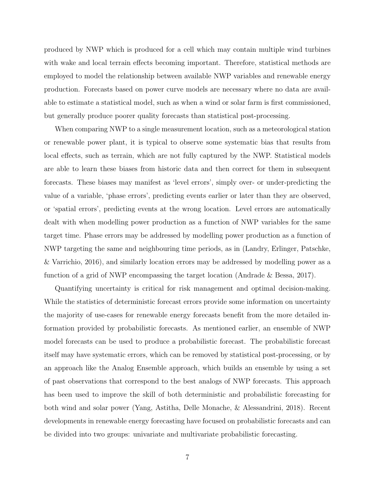produced by NWP which is produced for a cell which may contain multiple wind turbines with wake and local terrain effects becoming important. Therefore, statistical methods are employed to model the relationship between available NWP variables and renewable energy production. Forecasts based on power curve models are necessary where no data are available to estimate a statistical model, such as when a wind or solar farm is first commissioned, but generally produce poorer quality forecasts than statistical post-processing.

When comparing NWP to a single measurement location, such as a meteorological station or renewable power plant, it is typical to observe some systematic bias that results from local effects, such as terrain, which are not fully captured by the NWP. Statistical models are able to learn these biases from historic data and then correct for them in subsequent forecasts. These biases may manifest as 'level errors', simply over- or under-predicting the value of a variable, 'phase errors', predicting events earlier or later than they are observed, or 'spatial errors', predicting events at the wrong location. Level errors are automatically dealt with when modelling power production as a function of NWP variables for the same target time. Phase errors may be addressed by modelling power production as a function of NWP targeting the same and neighbouring time periods, as in [\(Landry, Erlinger, Patschke,](#page-25-3) [& Varrichio,](#page-25-3) [2016\)](#page-25-3), and similarly location errors may be addressed by modelling power as a function of a grid of NWP encompassing the target location [\(Andrade & Bessa,](#page-21-4) [2017\)](#page-21-4).

Quantifying uncertainty is critical for risk management and optimal decision-making. While the statistics of deterministic forecast errors provide some information on uncertainty the majority of use-cases for renewable energy forecasts benefit from the more detailed information provided by probabilistic forecasts. As mentioned earlier, an ensemble of NWP model forecasts can be used to produce a probabilistic forecast. The probabilistic forecast itself may have systematic errors, which can be removed by statistical post-processing, or by an approach like the Analog Ensemble approach, which builds an ensemble by using a set of past observations that correspond to the best analogs of NWP forecasts. This approach has been used to improve the skill of both deterministic and probabilistic forecasting for both wind and solar power [\(Yang, Astitha, Delle Monache, & Alessandrini,](#page-29-2) [2018\)](#page-29-2). Recent developments in renewable energy forecasting have focused on probabilistic forecasts and can be divided into two groups: univariate and multivariate probabilistic forecasting.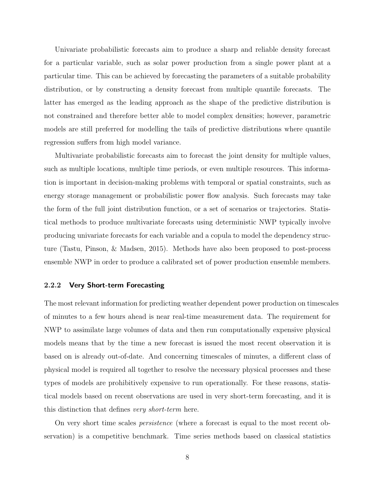Univariate probabilistic forecasts aim to produce a sharp and reliable density forecast for a particular variable, such as solar power production from a single power plant at a particular time. This can be achieved by forecasting the parameters of a suitable probability distribution, or by constructing a density forecast from multiple quantile forecasts. The latter has emerged as the leading approach as the shape of the predictive distribution is not constrained and therefore better able to model complex densities; however, parametric models are still preferred for modelling the tails of predictive distributions where quantile regression suffers from high model variance.

Multivariate probabilistic forecasts aim to forecast the joint density for multiple values, such as multiple locations, multiple time periods, or even multiple resources. This information is important in decision-making problems with temporal or spatial constraints, such as energy storage management or probabilistic power flow analysis. Such forecasts may take the form of the full joint distribution function, or a set of scenarios or trajectories. Statistical methods to produce multivariate forecasts using deterministic NWP typically involve producing univariate forecasts for each variable and a copula to model the dependency structure [\(Tastu, Pinson, & Madsen,](#page-28-1) [2015\)](#page-28-1). Methods have also been proposed to post-process ensemble NWP in order to produce a calibrated set of power production ensemble members.

#### 2.2.2 Very Short-term Forecasting

The most relevant information for predicting weather dependent power production on timescales of minutes to a few hours ahead is near real-time measurement data. The requirement for NWP to assimilate large volumes of data and then run computationally expensive physical models means that by the time a new forecast is issued the most recent observation it is based on is already out-of-date. And concerning timescales of minutes, a different class of physical model is required all together to resolve the necessary physical processes and these types of models are prohibitively expensive to run operationally. For these reasons, statistical models based on recent observations are used in very short-term forecasting, and it is this distinction that defines very short-term here.

On very short time scales persistence (where a forecast is equal to the most recent observation) is a competitive benchmark. Time series methods based on classical statistics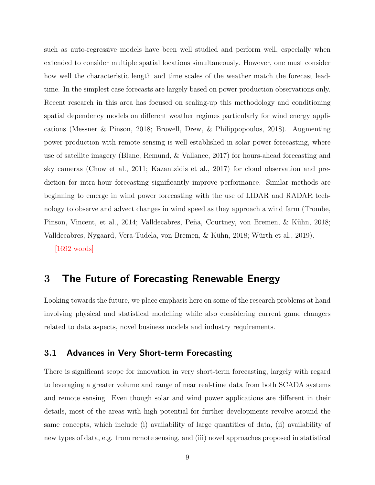such as auto-regressive models have been well studied and perform well, especially when extended to consider multiple spatial locations simultaneously. However, one must consider how well the characteristic length and time scales of the weather match the forecast leadtime. In the simplest case forecasts are largely based on power production observations only. Recent research in this area has focused on scaling-up this methodology and conditioning spatial dependency models on different weather regimes particularly for wind energy applications [\(Messner & Pinson,](#page-26-1) [2018;](#page-26-1) [Browell, Drew, & Philippopoulos,](#page-22-2) [2018\)](#page-22-2). Augmenting power production with remote sensing is well established in solar power forecasting, where use of satellite imagery [\(Blanc, Remund, & Vallance,](#page-21-5) [2017\)](#page-21-5) for hours-ahead forecasting and sky cameras [\(Chow et al.,](#page-22-3) [2011;](#page-22-3) [Kazantzidis et al.,](#page-25-4) [2017\)](#page-25-4) for cloud observation and prediction for intra-hour forecasting significantly improve performance. Similar methods are beginning to emerge in wind power forecasting with the use of LIDAR and RADAR technology to observe and advect changes in wind speed as they approach a wind farm [\(Trombe,](#page-28-2) [Pinson, Vincent, et al.,](#page-28-2) [2014;](#page-28-2) Valldecabres, Peña, Courtney, von Bremen, & Kühn, [2018;](#page-28-3) Valldecabres, Nygaard, Vera-Tudela, von Bremen, & Kühn, [2018;](#page-28-4) Würth et al., [2019\)](#page-29-3).

[1692 words]

### 3 The Future of Forecasting Renewable Energy

Looking towards the future, we place emphasis here on some of the research problems at hand involving physical and statistical modelling while also considering current game changers related to data aspects, novel business models and industry requirements.

### 3.1 Advances in Very Short-term Forecasting

There is significant scope for innovation in very short-term forecasting, largely with regard to leveraging a greater volume and range of near real-time data from both SCADA systems and remote sensing. Even though solar and wind power applications are different in their details, most of the areas with high potential for further developments revolve around the same concepts, which include (i) availability of large quantities of data, (ii) availability of new types of data, e.g. from remote sensing, and (iii) novel approaches proposed in statistical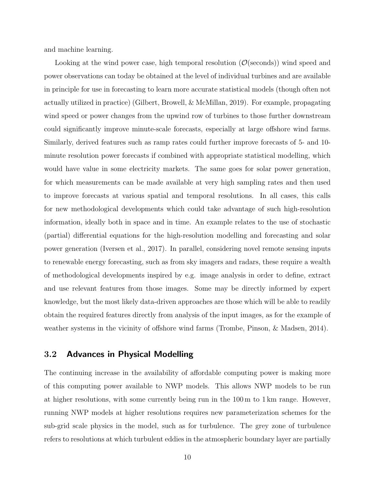and machine learning.

Looking at the wind power case, high temporal resolution  $(\mathcal{O}(\text{seconds}))$  wind speed and power observations can today be obtained at the level of individual turbines and are available in principle for use in forecasting to learn more accurate statistical models (though often not actually utilized in practice) [\(Gilbert, Browell, & McMillan,](#page-23-1) [2019\)](#page-23-1). For example, propagating wind speed or power changes from the upwind row of turbines to those further downstream could significantly improve minute-scale forecasts, especially at large offshore wind farms. Similarly, derived features such as ramp rates could further improve forecasts of 5- and 10 minute resolution power forecasts if combined with appropriate statistical modelling, which would have value in some electricity markets. The same goes for solar power generation, for which measurements can be made available at very high sampling rates and then used to improve forecasts at various spatial and temporal resolutions. In all cases, this calls for new methodological developments which could take advantage of such high-resolution information, ideally both in space and in time. An example relates to the use of stochastic (partial) differential equations for the high-resolution modelling and forecasting and solar power generation [\(Iversen et al.,](#page-25-5) [2017\)](#page-25-5). In parallel, considering novel remote sensing inputs to renewable energy forecasting, such as from sky imagers and radars, these require a wealth of methodological developments inspired by e.g. image analysis in order to define, extract and use relevant features from those images. Some may be directly informed by expert knowledge, but the most likely data-driven approaches are those which will be able to readily obtain the required features directly from analysis of the input images, as for the example of weather systems in the vicinity of offshore wind farms [\(Trombe, Pinson, & Madsen,](#page-28-5) [2014\)](#page-28-5).

### 3.2 Advances in Physical Modelling

The continuing increase in the availability of affordable computing power is making more of this computing power available to NWP models. This allows NWP models to be run at higher resolutions, with some currently being run in the 100 m to 1 km range. However, running NWP models at higher resolutions requires new parameterization schemes for the sub-grid scale physics in the model, such as for turbulence. The grey zone of turbulence refers to resolutions at which turbulent eddies in the atmospheric boundary layer are partially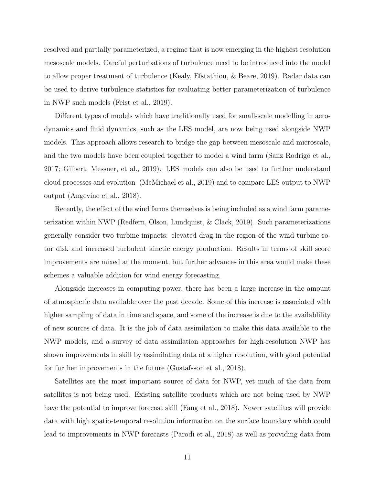resolved and partially parameterized, a regime that is now emerging in the highest resolution mesoscale models. Careful perturbations of turbulence need to be introduced into the model to allow proper treatment of turbulence [\(Kealy, Efstathiou, & Beare,](#page-25-6) [2019\)](#page-25-6). Radar data can be used to derive turbulence statistics for evaluating better parameterization of turbulence in NWP such models [\(Feist et al.,](#page-23-2) [2019\)](#page-23-2).

Different types of models which have traditionally used for small-scale modelling in aerodynamics and fluid dynamics, such as the LES model, are now being used alongside NWP models. This approach allows research to bridge the gap between mesoscale and microscale, and the two models have been coupled together to model a wind farm [\(Sanz Rodrigo et al.,](#page-27-0) [2017;](#page-27-0) [Gilbert, Messner, et al.,](#page-23-3) [2019\)](#page-23-3). LES models can also be used to further understand cloud processes and evolution [\(McMichael et al.,](#page-26-2) [2019\)](#page-26-2) and to compare LES output to NWP output [\(Angevine et al.,](#page-21-6) [2018\)](#page-21-6).

Recently, the effect of the wind farms themselves is being included as a wind farm parameterization within NWP [\(Redfern, Olson, Lundquist, & Clack,](#page-27-1) [2019\)](#page-27-1). Such parameterizations generally consider two turbine impacts: elevated drag in the region of the wind turbine rotor disk and increased turbulent kinetic energy production. Results in terms of skill score improvements are mixed at the moment, but further advances in this area would make these schemes a valuable addition for wind energy forecasting.

Alongside increases in computing power, there has been a large increase in the amount of atmospheric data available over the past decade. Some of this increase is associated with higher sampling of data in time and space, and some of the increase is due to the availablility of new sources of data. It is the job of data assimilation to make this data available to the NWP models, and a survey of data assimilation approaches for high-resolution NWP has shown improvements in skill by assimilating data at a higher resolution, with good potential for further improvements in the future [\(Gustafsson et al.,](#page-24-1) [2018\)](#page-24-1).

Satellites are the most important source of data for NWP, yet much of the data from satellites is not being used. Existing satellite products which are not being used by NWP have the potential to improve forecast skill [\(Fang et al.,](#page-23-4) [2018\)](#page-23-4). Newer satellites will provide data with high spatio-temporal resolution information on the surface boundary which could lead to improvements in NWP forecasts [\(Parodi et al.,](#page-27-2) [2018\)](#page-27-2) as well as providing data from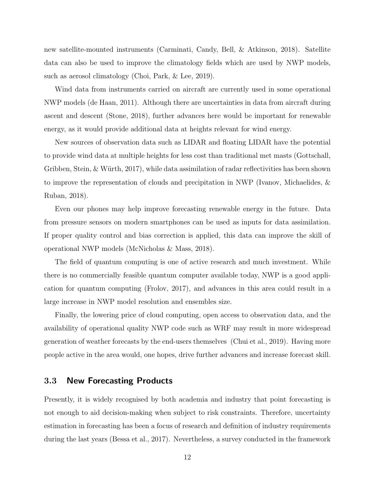new satellite-mounted instruments [\(Carminati, Candy, Bell, & Atkinson,](#page-22-4) [2018\)](#page-22-4). Satellite data can also be used to improve the climatology fields which are used by NWP models, such as aerosol climatology [\(Choi, Park, & Lee,](#page-22-5) [2019\)](#page-22-5).

Wind data from instruments carried on aircraft are currently used in some operational NWP models [\(de Haan,](#page-22-6) [2011\)](#page-22-6). Although there are uncertainties in data from aircraft during ascent and descent [\(Stone,](#page-28-6) [2018\)](#page-28-6), further advances here would be important for renewable energy, as it would provide additional data at heights relevant for wind energy.

New sources of observation data such as LIDAR and floating LIDAR have the potential to provide wind data at multiple heights for less cost than traditional met masts [\(Gottschall,](#page-24-2) Gribben, Stein,  $\&$  Würth, [2017\)](#page-24-2), while data assimilation of radar reflectivities has been shown to improve the representation of clouds and precipitation in NWP [\(Ivanov, Michaelides, &](#page-25-7) [Ruban,](#page-25-7) [2018\)](#page-25-7).

Even our phones may help improve forecasting renewable energy in the future. Data from pressure sensors on modern smartphones can be used as inputs for data assimilation. If proper quality control and bias correction is applied, this data can improve the skill of operational NWP models [\(McNicholas & Mass,](#page-26-3) [2018\)](#page-26-3).

The field of quantum computing is one of active research and much investment. While there is no commercially feasible quantum computer available today, NWP is a good application for quantum computing [\(Frolov,](#page-23-5) [2017\)](#page-23-5), and advances in this area could result in a large increase in NWP model resolution and ensembles size.

Finally, the lowering price of cloud computing, open access to observation data, and the availability of operational quality NWP code such as WRF may result in more widespread generation of weather forecasts by the end-users themselves [\(Chui et al.,](#page-22-7) [2019\)](#page-22-7). Having more people active in the area would, one hopes, drive further advances and increase forecast skill.

### <span id="page-11-0"></span>3.3 New Forecasting Products

Presently, it is widely recognised by both academia and industry that point forecasting is not enough to aid decision-making when subject to risk constraints. Therefore, uncertainty estimation in forecasting has been a focus of research and definition of industry requirements during the last years [\(Bessa et al.,](#page-21-1) [2017\)](#page-21-1). Nevertheless, a survey conducted in the framework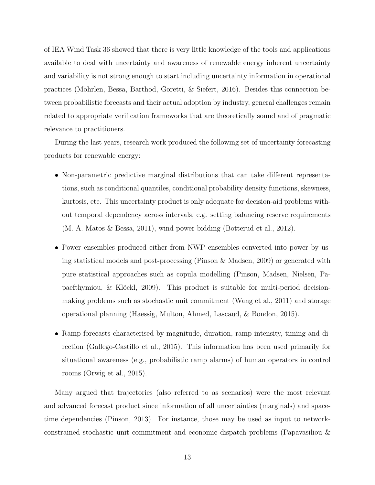of IEA Wind Task 36 showed that there is very little knowledge of the tools and applications available to deal with uncertainty and awareness of renewable energy inherent uncertainty and variability is not strong enough to start including uncertainty information in operational practices (Möhrlen, Bessa, Barthod, Goretti,  $\&$  Siefert, [2016\)](#page-26-4). Besides this connection between probabilistic forecasts and their actual adoption by industry, general challenges remain related to appropriate verification frameworks that are theoretically sound and of pragmatic relevance to practitioners.

During the last years, research work produced the following set of uncertainty forecasting products for renewable energy:

- Non-parametric predictive marginal distributions that can take different representations, such as conditional quantiles, conditional probability density functions, skewness, kurtosis, etc. This uncertainty product is only adequate for decision-aid problems without temporal dependency across intervals, e.g. setting balancing reserve requirements [\(M. A. Matos & Bessa,](#page-26-5) [2011\)](#page-26-5), wind power bidding [\(Botterud et al.,](#page-22-8) [2012\)](#page-22-8).
- Power ensembles produced either from NWP ensembles converted into power by using statistical models and post-processing [\(Pinson & Madsen,](#page-27-3) [2009\)](#page-27-3) or generated with pure statistical approaches such as copula modelling [\(Pinson, Madsen, Nielsen, Pa](#page-27-4)paefthymiou,  $\&$  Klöckl, [2009\)](#page-27-4). This product is suitable for multi-period decisionmaking problems such as stochastic unit commitment [\(Wang et al.,](#page-28-7) [2011\)](#page-28-7) and storage operational planning [\(Haessig, Multon, Ahmed, Lascaud, & Bondon,](#page-24-3) [2015\)](#page-24-3).
- Ramp forecasts characterised by magnitude, duration, ramp intensity, timing and direction [\(Gallego-Castillo et al.,](#page-23-0) [2015\)](#page-23-0). This information has been used primarily for situational awareness (e.g., probabilistic ramp alarms) of human operators in control rooms [\(Orwig et al.,](#page-27-5) [2015\)](#page-27-5).

Many argued that trajectories (also referred to as scenarios) were the most relevant and advanced forecast product since information of all uncertainties (marginals) and spacetime dependencies [\(Pinson,](#page-27-6) [2013\)](#page-27-6). For instance, those may be used as input to networkconstrained stochastic unit commitment and economic dispatch problems [\(Papavasiliou &](#page-27-7)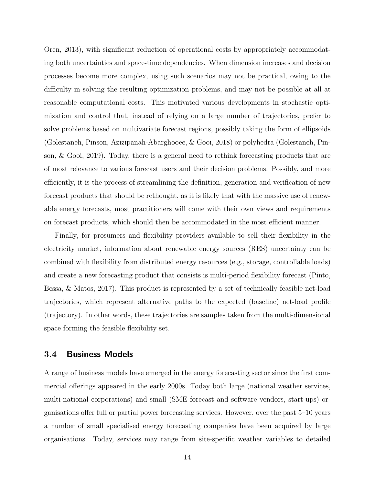[Oren,](#page-27-7) [2013\)](#page-27-7), with significant reduction of operational costs by appropriately accommodating both uncertainties and space-time dependencies. When dimension increases and decision processes become more complex, using such scenarios may not be practical, owing to the difficulty in solving the resulting optimization problems, and may not be possible at all at reasonable computational costs. This motivated various developments in stochastic optimization and control that, instead of relying on a large number of trajectories, prefer to solve problems based on multivariate forecast regions, possibly taking the form of ellipsoids [\(Golestaneh, Pinson, Azizipanah-Abarghooee, & Gooi,](#page-24-4) [2018\)](#page-24-4) or polyhedra [\(Golestaneh, Pin](#page-24-5)[son, & Gooi,](#page-24-5) [2019\)](#page-24-5). Today, there is a general need to rethink forecasting products that are of most relevance to various forecast users and their decision problems. Possibly, and more efficiently, it is the process of streamlining the definition, generation and verification of new forecast products that should be rethought, as it is likely that with the massive use of renewable energy forecasts, most practitioners will come with their own views and requirements on forecast products, which should then be accommodated in the most efficient manner.

Finally, for prosumers and flexibility providers available to sell their flexibility in the electricity market, information about renewable energy sources (RES) uncertainty can be combined with flexibility from distributed energy resources (e.g., storage, controllable loads) and create a new forecasting product that consists is multi-period flexibility forecast [\(Pinto,](#page-27-8) [Bessa, & Matos,](#page-27-8) [2017\)](#page-27-8). This product is represented by a set of technically feasible net-load trajectories, which represent alternative paths to the expected (baseline) net-load profile (trajectory). In other words, these trajectories are samples taken from the multi-dimensional space forming the feasible flexibility set.

### 3.4 Business Models

A range of business models have emerged in the energy forecasting sector since the first commercial offerings appeared in the early 2000s. Today both large (national weather services, multi-national corporations) and small (SME forecast and software vendors, start-ups) organisations offer full or partial power forecasting services. However, over the past 5–10 years a number of small specialised energy forecasting companies have been acquired by large organisations. Today, services may range from site-specific weather variables to detailed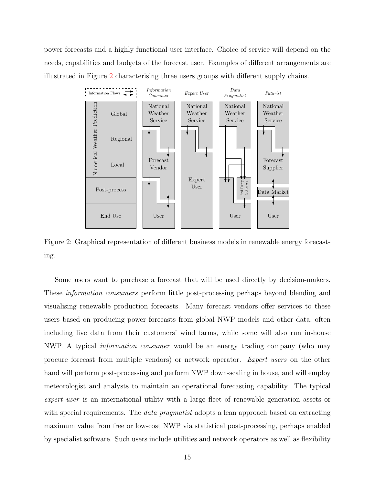power forecasts and a highly functional user interface. Choice of service will depend on the needs, capabilities and budgets of the forecast user. Examples of different arrangements are illustrated in Figure [2](#page-14-0) characterising three users groups with different supply chains.

<span id="page-14-0"></span>

Figure 2: Graphical representation of different business models in renewable energy forecasting.

Some users want to purchase a forecast that will be used directly by decision-makers. These information consumers perform little post-processing perhaps beyond blending and visualising renewable production forecasts. Many forecast vendors offer services to these users based on producing power forecasts from global NWP models and other data, often including live data from their customers' wind farms, while some will also run in-house NWP. A typical information consumer would be an energy trading company (who may procure forecast from multiple vendors) or network operator. Expert users on the other hand will perform post-processing and perform NWP down-scaling in house, and will employ meteorologist and analysts to maintain an operational forecasting capability. The typical expert user is an international utility with a large fleet of renewable generation assets or with special requirements. The *data pragmatist* adopts a lean approach based on extracting maximum value from free or low-cost NWP via statistical post-processing, perhaps enabled by specialist software. Such users include utilities and network operators as well as flexibility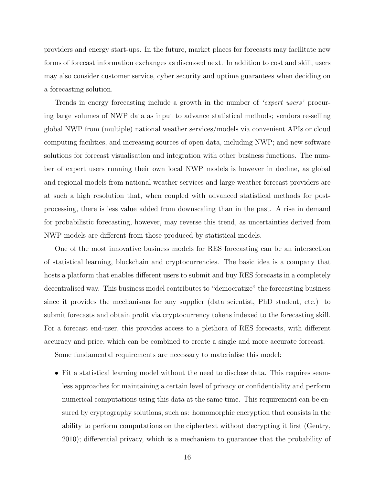providers and energy start-ups. In the future, market places for forecasts may facilitate new forms of forecast information exchanges as discussed next. In addition to cost and skill, users may also consider customer service, cyber security and uptime guarantees when deciding on a forecasting solution.

Trends in energy forecasting include a growth in the number of *'expert users'* procuring large volumes of NWP data as input to advance statistical methods; vendors re-selling global NWP from (multiple) national weather services/models via convenient APIs or cloud computing facilities, and increasing sources of open data, including NWP; and new software solutions for forecast visualisation and integration with other business functions. The number of expert users running their own local NWP models is however in decline, as global and regional models from national weather services and large weather forecast providers are at such a high resolution that, when coupled with advanced statistical methods for postprocessing, there is less value added from downscaling than in the past. A rise in demand for probabilistic forecasting, however, may reverse this trend, as uncertainties derived from NWP models are different from those produced by statistical models.

One of the most innovative business models for RES forecasting can be an intersection of statistical learning, blockchain and cryptocurrencies. The basic idea is a company that hosts a platform that enables different users to submit and buy RES forecasts in a completely decentralised way. This business model contributes to "democratize" the forecasting business since it provides the mechanisms for any supplier (data scientist, PhD student, etc.) to submit forecasts and obtain profit via cryptocurrency tokens indexed to the forecasting skill. For a forecast end-user, this provides access to a plethora of RES forecasts, with different accuracy and price, which can be combined to create a single and more accurate forecast.

Some fundamental requirements are necessary to materialise this model:

• Fit a statistical learning model without the need to disclose data. This requires seamless approaches for maintaining a certain level of privacy or confidentiality and perform numerical computations using this data at the same time. This requirement can be ensured by cryptography solutions, such as: homomorphic encryption that consists in the ability to perform computations on the ciphertext without decrypting it first [\(Gentry,](#page-23-6) [2010\)](#page-23-6); differential privacy, which is a mechanism to guarantee that the probability of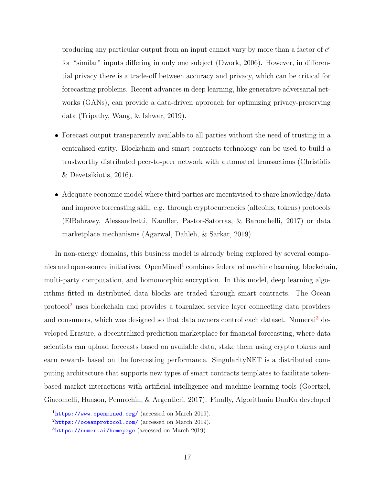producing any particular output from an input cannot vary by more than a factor of  $e^{\epsilon}$ for "similar" inputs differing in only one subject [\(Dwork,](#page-23-7) [2006\)](#page-23-7). However, in differential privacy there is a trade-off between accuracy and privacy, which can be critical for forecasting problems. Recent advances in deep learning, like generative adversarial networks (GANs), can provide a data-driven approach for optimizing privacy-preserving data [\(Tripathy, Wang, & Ishwar,](#page-28-8) [2019\)](#page-28-8).

- Forecast output transparently available to all parties without the need of trusting in a centralised entity. Blockchain and smart contracts technology can be used to build a trustworthy distributed peer-to-peer network with automated transactions [\(Christidis](#page-22-9) [& Devetsikiotis,](#page-22-9) [2016\)](#page-22-9).
- Adequate economic model where third parties are incentivised to share knowledge/data and improve forecasting skill, e.g. through cryptocurrencies (altcoins, tokens) protocols [\(ElBahrawy, Alessandretti, Kandler, Pastor-Satorras, & Baronchelli,](#page-23-8) [2017\)](#page-23-8) or data marketplace mechanisms [\(Agarwal, Dahleh, & Sarkar,](#page-21-7) [2019\)](#page-21-7).

In non-energy domains, this business model is already being explored by several compa-nies and open-source initiatives. OpenMined<sup>[1](#page-16-0)</sup> combines federated machine learning, blockchain, multi-party computation, and homomorphic encryption. In this model, deep learning algorithms fitted in distributed data blocks are traded through smart contracts. The Ocean protocol[2](#page-16-1) uses blockchain and provides a tokenized service layer connecting data providers and consumers, which was designed so that data owners control each dataset. Numerai<sup>[3](#page-16-2)</sup> developed Erasure, a decentralized prediction marketplace for financial forecasting, where data scientists can upload forecasts based on available data, stake them using crypto tokens and earn rewards based on the forecasting performance. SingularityNET is a distributed computing architecture that supports new types of smart contracts templates to facilitate tokenbased market interactions with artificial intelligence and machine learning tools [\(Goertzel,](#page-24-6) [Giacomelli, Hanson, Pennachin, & Argentieri,](#page-24-6) [2017\)](#page-24-6). Finally, Algorithmia DanKu developed

<span id="page-16-1"></span><span id="page-16-0"></span> $1$ <https://www.openmined.org/> (accessed on March 2019).

<span id="page-16-2"></span> $2$ <https://oceanprotocol.com/> (accessed on March 2019).

 $3$ <https://numer.ai/homepage> (accessed on March 2019).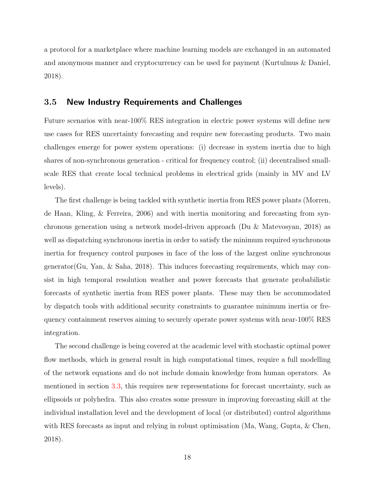a protocol for a marketplace where machine learning models are exchanged in an automated and anonymous manner and cryptocurrency can be used for payment [\(Kurtulmus & Daniel,](#page-25-8) [2018\)](#page-25-8).

### 3.5 New Industry Requirements and Challenges

Future scenarios with near-100% RES integration in electric power systems will define new use cases for RES uncertainty forecasting and require new forecasting products. Two main challenges emerge for power system operations: (i) decrease in system inertia due to high shares of non-synchronous generation - critical for frequency control; (ii) decentralised smallscale RES that create local technical problems in electrical grids (mainly in MV and LV levels).

The first challenge is being tackled with synthetic inertia from RES power plants [\(Morren,](#page-27-9) [de Haan, Kling, & Ferreira,](#page-27-9) [2006\)](#page-27-9) and with inertia monitoring and forecasting from synchronous generation using a network model-driven approach [\(Du & Matevosyan,](#page-23-9) [2018\)](#page-23-9) as well as dispatching synchronous inertia in order to satisfy the minimum required synchronous inertia for frequency control purposes in face of the loss of the largest online synchronous generator(Gu, Yan,  $\&$  Saha, [2018\)](#page-24-7). This induces forecasting requirements, which may consist in high temporal resolution weather and power forecasts that generate probabilistic forecasts of synthetic inertia from RES power plants. These may then be accommodated by dispatch tools with additional security constraints to guarantee minimum inertia or frequency containment reserves aiming to securely operate power systems with near-100% RES integration.

The second challenge is being covered at the academic level with stochastic optimal power flow methods, which in general result in high computational times, require a full modelling of the network equations and do not include domain knowledge from human operators. As mentioned in section [3.3,](#page-11-0) this requires new representations for forecast uncertainty, such as ellipsoids or polyhedra. This also creates some pressure in improving forecasting skill at the individual installation level and the development of local (or distributed) control algorithms with RES forecasts as input and relying in robust optimisation [\(Ma, Wang, Gupta, & Chen,](#page-26-6) [2018\)](#page-26-6).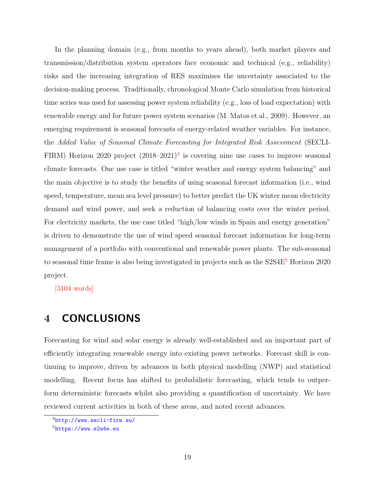In the planning domain (e.g., from months to years ahead), both market players and transmission/distribution system operators face economic and technical (e.g., reliability) risks and the increasing integration of RES maximises the uncertainty associated to the decision-making process. Traditionally, chronological Monte Carlo simulation from historical time series was used for assessing power system reliability (e.g., loss of load expectation) with renewable energy and for future power system scenarios [\(M. Matos et al.,](#page-26-7) [2009\)](#page-26-7). However, an emerging requirement is seasonal forecasts of energy-related weather variables. For instance, the Added Value of Seasonal Climate Forecasting for Integrated Risk Assessment (SECLI-FIRM) Horizon 2020 project  $(2018-2021)^4$  $(2018-2021)^4$  is covering nine use cases to improve seasonal climate forecasts. One use case is titled "winter weather and energy system balancing" and the main objective is to study the benefits of using seasonal forecast information (i.e., wind speed, temperature, mean sea level pressure) to better predict the UK winter mean electricity demand and wind power, and seek a reduction of balancing costs over the winter period. For electricity markets, the use case titled "high/low winds in Spain and energy generation" is driven to demonstrate the use of wind speed seasonal forecast information for long-term management of a portfolio with conventional and renewable power plants. The sub-seasonal to seasonal time frame is also being investigated in projects such as the  $S2S4E^5$  $S2S4E^5$  Horizon 2020 project.

[3104 words]

# 4 CONCLUSIONS

Forecasting for wind and solar energy is already well-established and an important part of efficiently integrating renewable energy into existing power networks. Forecast skill is continuing to improve, driven by advances in both physical modelling (NWP) and statistical modelling. Recent focus has shifted to probabilistic forecasting, which tends to outperform deterministic forecasts whilst also providing a quantification of uncertainty. We have reviewed current activities in both of these areas, and noted recent advances.

<span id="page-18-1"></span><span id="page-18-0"></span><sup>4</sup><http://www.secli-firm.eu/>

 $5$ <https://www.s2s4e.eu>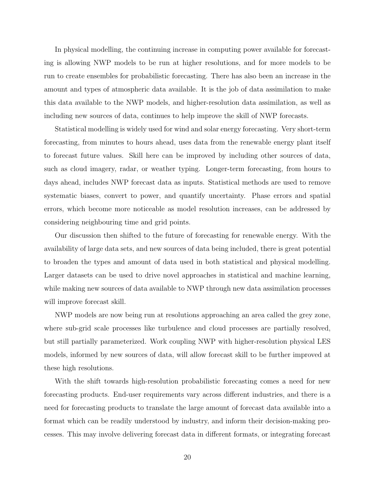In physical modelling, the continuing increase in computing power available for forecasting is allowing NWP models to be run at higher resolutions, and for more models to be run to create ensembles for probabilistic forecasting. There has also been an increase in the amount and types of atmospheric data available. It is the job of data assimilation to make this data available to the NWP models, and higher-resolution data assimilation, as well as including new sources of data, continues to help improve the skill of NWP forecasts.

Statistical modelling is widely used for wind and solar energy forecasting. Very short-term forecasting, from minutes to hours ahead, uses data from the renewable energy plant itself to forecast future values. Skill here can be improved by including other sources of data, such as cloud imagery, radar, or weather typing. Longer-term forecasting, from hours to days ahead, includes NWP forecast data as inputs. Statistical methods are used to remove systematic biases, convert to power, and quantify uncertainty. Phase errors and spatial errors, which become more noticeable as model resolution increases, can be addressed by considering neighbouring time and grid points.

Our discussion then shifted to the future of forecasting for renewable energy. With the availability of large data sets, and new sources of data being included, there is great potential to broaden the types and amount of data used in both statistical and physical modelling. Larger datasets can be used to drive novel approaches in statistical and machine learning, while making new sources of data available to NWP through new data assimilation processes will improve forecast skill.

NWP models are now being run at resolutions approaching an area called the grey zone, where sub-grid scale processes like turbulence and cloud processes are partially resolved, but still partially parameterized. Work coupling NWP with higher-resolution physical LES models, informed by new sources of data, will allow forecast skill to be further improved at these high resolutions.

With the shift towards high-resolution probabilistic forecasting comes a need for new forecasting products. End-user requirements vary across different industries, and there is a need for forecasting products to translate the large amount of forecast data available into a format which can be readily understood by industry, and inform their decision-making processes. This may involve delivering forecast data in different formats, or integrating forecast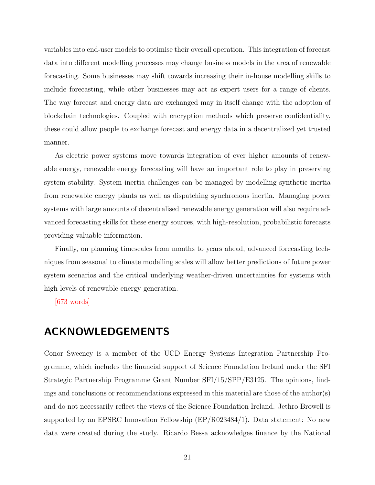variables into end-user models to optimise their overall operation. This integration of forecast data into different modelling processes may change business models in the area of renewable forecasting. Some businesses may shift towards increasing their in-house modelling skills to include forecasting, while other businesses may act as expert users for a range of clients. The way forecast and energy data are exchanged may in itself change with the adoption of blockchain technologies. Coupled with encryption methods which preserve confidentiality, these could allow people to exchange forecast and energy data in a decentralized yet trusted manner.

As electric power systems move towards integration of ever higher amounts of renewable energy, renewable energy forecasting will have an important role to play in preserving system stability. System inertia challenges can be managed by modelling synthetic inertia from renewable energy plants as well as dispatching synchronous inertia. Managing power systems with large amounts of decentralised renewable energy generation will also require advanced forecasting skills for these energy sources, with high-resolution, probabilistic forecasts providing valuable information.

Finally, on planning timescales from months to years ahead, advanced forecasting techniques from seasonal to climate modelling scales will allow better predictions of future power system scenarios and the critical underlying weather-driven uncertainties for systems with high levels of renewable energy generation.

[673 words]

# ACKNOWLEDGEMENTS

Conor Sweeney is a member of the UCD Energy Systems Integration Partnership Programme, which includes the financial support of Science Foundation Ireland under the SFI Strategic Partnership Programme Grant Number SFI/15/SPP/E3125. The opinions, findings and conclusions or recommendations expressed in this material are those of the author(s) and do not necessarily reflect the views of the Science Foundation Ireland. Jethro Browell is supported by an EPSRC Innovation Fellowship (EP/R023484/1). Data statement: No new data were created during the study. Ricardo Bessa acknowledges finance by the National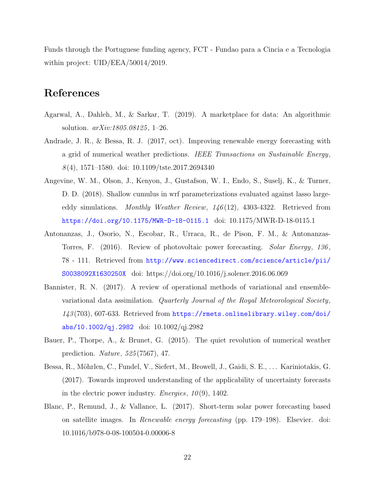Funds through the Portuguese funding agency, FCT - Fundao para a Cincia e a Tecnologia within project:  $UID/EEA/50014/2019$ .

# References

- <span id="page-21-7"></span>Agarwal, A., Dahleh, M., & Sarkar, T. (2019). A marketplace for data: An algorithmic solution. arXiv:1805.08125 , 1–26.
- <span id="page-21-4"></span>Andrade, J. R., & Bessa, R. J. (2017, oct). Improving renewable energy forecasting with a grid of numerical weather predictions. IEEE Transactions on Sustainable Energy,  $8(4)$ , 1571–1580. doi: 10.1109/tste.2017.2694340
- <span id="page-21-6"></span>Angevine, W. M., Olson, J., Kenyon, J., Gustafson, W. I., Endo, S., Suselj, K., & Turner, D. D. (2018). Shallow cumulus in wrf parameterizations evaluated against lasso largeeddy simulations. Monthly Weather Review,  $146(12)$ , 4303-4322. Retrieved from <https://doi.org/10.1175/MWR-D-18-0115.1> doi: 10.1175/MWR-D-18-0115.1
- <span id="page-21-0"></span>Antonanzas, J., Osorio, N., Escobar, R., Urraca, R., de Pison, F. M., & Antonanzas-Torres, F. (2016). Review of photovoltaic power forecasting. Solar Energy, 136, 78 - 111. Retrieved from [http://www.sciencedirect.com/science/article/pii/](http://www.sciencedirect.com/science/article/pii/S0038092X1630250X) [S0038092X1630250X](http://www.sciencedirect.com/science/article/pii/S0038092X1630250X) doi: https://doi.org/10.1016/j.solener.2016.06.069
- <span id="page-21-3"></span>Bannister, R. N. (2017). A review of operational methods of variational and ensemblevariational data assimilation. Quarterly Journal of the Royal Meteorological Society, 143 (703), 607-633. Retrieved from [https://rmets.onlinelibrary.wiley.com/doi/](https://rmets.onlinelibrary.wiley.com/doi/abs/10.1002/qj.2982) [abs/10.1002/qj.2982](https://rmets.onlinelibrary.wiley.com/doi/abs/10.1002/qj.2982) doi: 10.1002/qj.2982
- <span id="page-21-2"></span>Bauer, P., Thorpe, A., & Brunet, G. (2015). The quiet revolution of numerical weather prediction. Nature, 525 (7567), 47.
- <span id="page-21-1"></span>Bessa, R., Möhrlen, C., Fundel, V., Siefert, M., Browell, J., Gaidi, S. E., ... Kariniotakis, G. (2017). Towards improved understanding of the applicability of uncertainty forecasts in the electric power industry. Energies,  $10(9)$ , 1402.
- <span id="page-21-5"></span>Blanc, P., Remund, J., & Vallance, L. (2017). Short-term solar power forecasting based on satellite images. In Renewable energy forecasting (pp. 179–198). Elsevier. doi: 10.1016/b978-0-08-100504-0.00006-8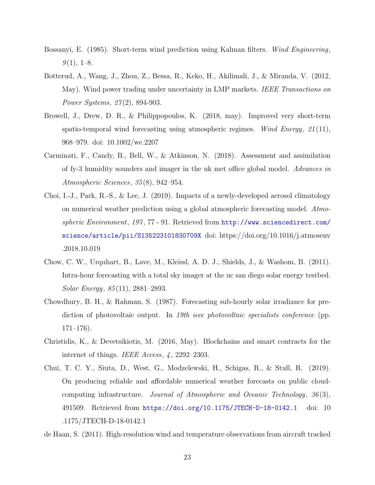- <span id="page-22-0"></span>Bossanyi, E. (1985). Short-term wind prediction using Kalman filters. Wind Engineering,  $9(1), 1-8.$
- <span id="page-22-8"></span>Botterud, A., Wang, J., Zhou, Z., Bessa, R., Keko, H., Akilimali, J., & Miranda, V. (2012, May). Wind power trading under uncertainty in LMP markets. IEEE Transactions on Power Systems, 27(2), 894-903.
- <span id="page-22-2"></span>Browell, J., Drew, D. R., & Philippopoulos, K. (2018, may). Improved very short-term spatio-temporal wind forecasting using atmospheric regimes. Wind Energy,  $21(11)$ , 968–979. doi: 10.1002/we.2207
- <span id="page-22-4"></span>Carminati, F., Candy, B., Bell, W., & Atkinson, N. (2018). Assessment and assimilation of fy-3 humidity sounders and imager in the uk met office global model. Advances in Atmospheric Sciences, 35 (8), 942–954.
- <span id="page-22-5"></span>Choi, I.-J., Park, R.-S., & Lee, J. (2019). Impacts of a newly-developed aerosol climatology on numerical weather prediction using a global atmospheric forecasting model. Atmospheric Environment, 197, 77 - 91. Retrieved from [http://www.sciencedirect.com/](http://www.sciencedirect.com/science/article/pii/S135223101830709X) [science/article/pii/S135223101830709X](http://www.sciencedirect.com/science/article/pii/S135223101830709X) doi: https://doi.org/10.1016/j.atmosenv .2018.10.019
- <span id="page-22-3"></span>Chow, C. W., Urquhart, B., Lave, M., Kleissl, A. D. J., Shields, J., & Washom, B. (2011). Intra-hour forecasting with a total sky imager at the uc san diego solar energy testbed. Solar Energy, 85 (11), 2881–2893.
- <span id="page-22-1"></span>Chowdhury, B. H., & Rahman, S. (1987). Forecasting sub-hourly solar irradiance for prediction of photovoltaic output. In 19th ieee photovoltaic specialists conference (pp.  $171–176$ ).
- <span id="page-22-9"></span>Christidis, K., & Devetsikiotis, M. (2016, May). Blockchains and smart contracts for the internet of things. IEEE Access, 4, 2292-2303.
- <span id="page-22-7"></span>Chui, T. C. Y., Siuta, D., West, G., Modzelewski, H., Schigas, R., & Stull, R. (2019). On producing reliable and affordable numerical weather forecasts on public cloudcomputing infrastructure. Journal of Atmospheric and Oceanic Technology, 36 (3), 491509. Retrieved from <https://doi.org/10.1175/JTECH-D-18-0142.1> doi: 10 .1175/JTECH-D-18-0142.1
- <span id="page-22-6"></span>de Haan, S. (2011). High-resolution wind and temperature observations from aircraft tracked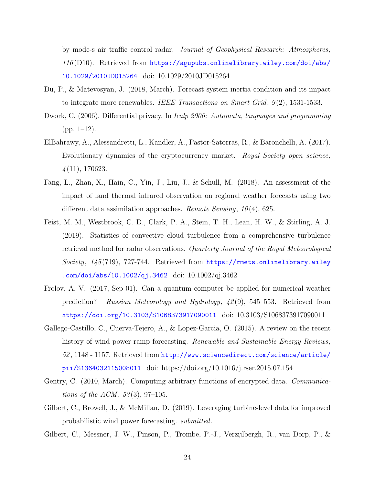by mode-s air traffic control radar. Journal of Geophysical Research: Atmospheres,  $116(D10)$ . Retrieved from [https://agupubs.onlinelibrary.wiley.com/doi/abs/](https://agupubs.onlinelibrary.wiley.com/doi/abs/10.1029/2010JD015264) [10.1029/2010JD015264](https://agupubs.onlinelibrary.wiley.com/doi/abs/10.1029/2010JD015264) doi: 10.1029/2010JD015264

- <span id="page-23-9"></span>Du, P., & Matevosyan, J. (2018, March). Forecast system inertia condition and its impact to integrate more renewables. IEEE Transactions on Smart Grid,  $9(2)$ , 1531-1533.
- <span id="page-23-7"></span>Dwork, C. (2006). Differential privacy. In Icalp 2006: Automata, languages and programming  $(pp. 1-12)$ .
- <span id="page-23-8"></span>ElBahrawy, A., Alessandretti, L., Kandler, A., Pastor-Satorras, R., & Baronchelli, A. (2017). Evolutionary dynamics of the cryptocurrency market. Royal Society open science,  $\frac{1}{4}(11), 170623.$
- <span id="page-23-4"></span>Fang, L., Zhan, X., Hain, C., Yin, J., Liu, J., & Schull, M. (2018). An assessment of the impact of land thermal infrared observation on regional weather forecasts using two different data assimilation approaches. Remote Sensing,  $10(4)$ , 625.
- <span id="page-23-2"></span>Feist, M. M., Westbrook, C. D., Clark, P. A., Stein, T. H., Lean, H. W., & Stirling, A. J. (2019). Statistics of convective cloud turbulence from a comprehensive turbulence retrieval method for radar observations. Quarterly Journal of the Royal Meteorological Society,  $145(719)$ , 727-744. Retrieved from [https://rmets.onlinelibrary.wiley](https://rmets.onlinelibrary.wiley.com/doi/abs/10.1002/qj.3462) [.com/doi/abs/10.1002/qj.3462](https://rmets.onlinelibrary.wiley.com/doi/abs/10.1002/qj.3462) doi: 10.1002/qj.3462
- <span id="page-23-5"></span>Frolov, A. V. (2017, Sep 01). Can a quantum computer be applied for numerical weather prediction? Russian Meteorology and Hydrology, 42 (9), 545–553. Retrieved from <https://doi.org/10.3103/S1068373917090011> doi: 10.3103/S1068373917090011
- <span id="page-23-0"></span>Gallego-Castillo, C., Cuerva-Tejero, A., & Lopez-Garcia, O. (2015). A review on the recent history of wind power ramp forecasting. Renewable and Sustainable Energy Reviews, 52 , 1148 - 1157. Retrieved from [http://www.sciencedirect.com/science/article/](http://www.sciencedirect.com/science/article/pii/S1364032115008011) [pii/S1364032115008011](http://www.sciencedirect.com/science/article/pii/S1364032115008011) doi: https://doi.org/10.1016/j.rser.2015.07.154
- <span id="page-23-6"></span>Gentry, C. (2010, March). Computing arbitrary functions of encrypted data. Communications of the ACM,  $53(3)$ , 97-105.
- <span id="page-23-1"></span>Gilbert, C., Browell, J., & McMillan, D. (2019). Leveraging turbine-level data for improved probabilistic wind power forecasting. submitted.
- <span id="page-23-3"></span>Gilbert, C., Messner, J. W., Pinson, P., Trombe, P.-J., Verzijlbergh, R., van Dorp, P., &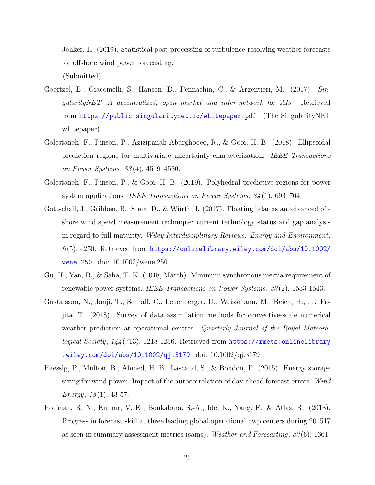Jonker, H. (2019). Statistical post-processing of turbulence-resolving weather forecasts for offshore wind power forecasting.

(Submitted)

- <span id="page-24-6"></span>Goertzel, B., Giacomelli, S., Hanson, D., Pennachin, C., & Argentieri, M. (2017). SingularityNET: A decentralized, open market and inter-network for AIs. Retrieved from <https://public.singularitynet.io/whitepaper.pdf> (The SingularityNET whitepaper)
- <span id="page-24-4"></span>Golestaneh, F., Pinson, P., Azizipanah-Abarghooee, R., & Gooi, H. B. (2018). Ellipsoidal prediction regions for multivariate uncertainty characterization. IEEE Transactions on Power Systems, 33 (4), 4519–4530.
- <span id="page-24-5"></span>Golestaneh, F., Pinson, P., & Gooi, H. B. (2019). Polyhedral predictive regions for power system applications. IEEE Transactions on Power Systems,  $34(1)$ , 693–704.
- <span id="page-24-2"></span>Gottschall, J., Gribben, B., Stein, D., & Würth, I. (2017). Floating lidar as an advanced offshore wind speed measurement technique: current technology status and gap analysis in regard to full maturity. Wiley Interdisciplinary Reviews: Energy and Environment,  $6(5)$ , e250. Retrieved from [https://onlinelibrary.wiley.com/doi/abs/10.1002/](https://onlinelibrary.wiley.com/doi/abs/10.1002/wene.250) [wene.250](https://onlinelibrary.wiley.com/doi/abs/10.1002/wene.250) doi: 10.1002/wene.250
- <span id="page-24-7"></span>Gu, H., Yan, R., & Saha, T. K. (2018, March). Minimum synchronous inertia requirement of renewable power systems. IEEE Transactions on Power Systems, 33 (2), 1533-1543.
- <span id="page-24-1"></span>Gustafsson, N., Janji, T., Schraff, C., Leuenberger, D., Weissmann, M., Reich, H., ... Fujita, T. (2018). Survey of data assimilation methods for convective-scale numerical weather prediction at operational centres. Quarterly Journal of the Royal Meteorological Society, 144(713), 1218-1256. Retrieved from [https://rmets.onlinelibrary](https://rmets.onlinelibrary.wiley.com/doi/abs/10.1002/qj.3179) [.wiley.com/doi/abs/10.1002/qj.3179](https://rmets.onlinelibrary.wiley.com/doi/abs/10.1002/qj.3179) doi: 10.1002/qj.3179
- <span id="page-24-3"></span>Haessig, P., Multon, B., Ahmed, H. B., Lascaud, S., & Bondon, P. (2015). Energy storage sizing for wind power: Impact of the autocorrelation of day-ahead forecast errors. Wind  $Energy, 18(1), 43-57.$
- <span id="page-24-0"></span>Hoffman, R. N., Kumar, V. K., Boukabara, S.-A., Ide, K., Yang, F., & Atlas, R. (2018). Progress in forecast skill at three leading global operational nwp centers during 201517 as seen in summary assessment metrics (sams). Weather and Forecasting, 33 (6), 1661-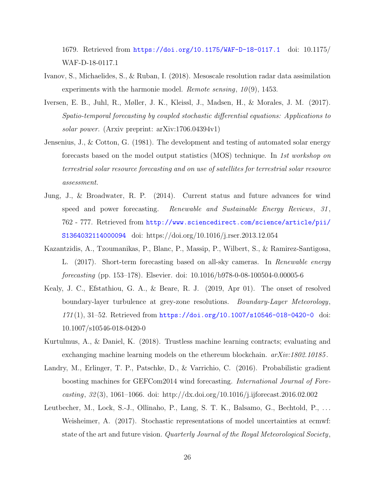1679. Retrieved from <https://doi.org/10.1175/WAF-D-18-0117.1> doi: 10.1175/ WAF-D-18-0117.1

- <span id="page-25-7"></span>Ivanov, S., Michaelides, S., & Ruban, I. (2018). Mesoscale resolution radar data assimilation experiments with the harmonie model. Remote sensing,  $10(9)$ , 1453.
- <span id="page-25-5"></span>Iversen, E. B., Juhl, R., Møller, J. K., Kleissl, J., Madsen, H., & Morales, J. M. (2017). Spatio-temporal forecasting by coupled stochastic differential equations: Applications to solar power. (Arxiv preprint: arXiv:1706.04394v1)
- <span id="page-25-2"></span>Jensenius, J., & Cotton, G. (1981). The development and testing of automated solar energy forecasts based on the model output statistics (MOS) technique. In 1st workshop on terrestrial solar resource forecasting and on use of satellites for terrestrial solar resource assessment.
- <span id="page-25-0"></span>Jung, J., & Broadwater, R. P. (2014). Current status and future advances for wind speed and power forecasting. Renewable and Sustainable Energy Reviews, 31, 762 - 777. Retrieved from [http://www.sciencedirect.com/science/article/pii/](http://www.sciencedirect.com/science/article/pii/S1364032114000094) [S1364032114000094](http://www.sciencedirect.com/science/article/pii/S1364032114000094) doi: https://doi.org/10.1016/j.rser.2013.12.054
- <span id="page-25-4"></span>Kazantzidis, A., Tzoumanikas, P., Blanc, P., Massip, P., Wilbert, S., & Ramirez-Santigosa, L. (2017). Short-term forecasting based on all-sky cameras. In Renewable energy forecasting (pp. 153–178). Elsevier. doi: 10.1016/b978-0-08-100504-0.00005-6
- <span id="page-25-6"></span>Kealy, J. C., Efstathiou, G. A., & Beare, R. J. (2019, Apr 01). The onset of resolved boundary-layer turbulence at grey-zone resolutions. Boundary-Layer Meteorology, 171 (1), 31–52. Retrieved from <https://doi.org/10.1007/s10546-018-0420-0> doi: 10.1007/s10546-018-0420-0
- <span id="page-25-8"></span>Kurtulmus, A., & Daniel, K. (2018). Trustless machine learning contracts; evaluating and exchanging machine learning models on the ethereum blockchain.  $arXiv:1802.10185$ .
- <span id="page-25-3"></span>Landry, M., Erlinger, T. P., Patschke, D., & Varrichio, C. (2016). Probabilistic gradient boosting machines for GEFCom2014 wind forecasting. International Journal of Forecasting, 32 (3), 1061–1066. doi: http://dx.doi.org/10.1016/j.ijforecast.2016.02.002
- <span id="page-25-1"></span>Leutbecher, M., Lock, S.-J., Ollinaho, P., Lang, S. T. K., Balsamo, G., Bechtold, P., ... Weisheimer, A. (2017). Stochastic representations of model uncertainties at ecmwf: state of the art and future vision. Quarterly Journal of the Royal Meteorological Society,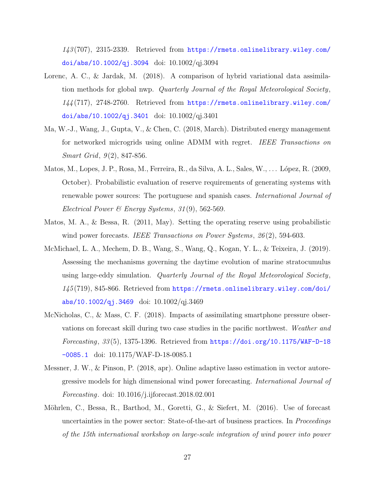143 (707), 2315-2339. Retrieved from [https://rmets.onlinelibrary.wiley.com/](https://rmets.onlinelibrary.wiley.com/doi/abs/10.1002/qj.3094) [doi/abs/10.1002/qj.3094](https://rmets.onlinelibrary.wiley.com/doi/abs/10.1002/qj.3094) doi: 10.1002/qj.3094

- <span id="page-26-0"></span>Lorenc, A. C., & Jardak, M. (2018). A comparison of hybrid variational data assimilation methods for global nwp. Quarterly Journal of the Royal Meteorological Society, 144 (717), 2748-2760. Retrieved from [https://rmets.onlinelibrary.wiley.com/](https://rmets.onlinelibrary.wiley.com/doi/abs/10.1002/qj.3401) [doi/abs/10.1002/qj.3401](https://rmets.onlinelibrary.wiley.com/doi/abs/10.1002/qj.3401) doi: 10.1002/qj.3401
- <span id="page-26-6"></span>Ma, W.-J., Wang, J., Gupta, V., & Chen, C. (2018, March). Distributed energy management for networked microgrids using online ADMM with regret. IEEE Transactions on *Smart Grid,*  $9(2)$ , 847-856.
- <span id="page-26-7"></span>Matos, M., Lopes, J. P., Rosa, M., Ferreira, R., da Silva, A. L., Sales, W., . . . L´opez, R. (2009, October). Probabilistic evaluation of reserve requirements of generating systems with renewable power sources: The portuguese and spanish cases. International Journal of Electrical Power & Energy Systems,  $31(9)$ , 562-569.
- <span id="page-26-5"></span>Matos, M. A., & Bessa, R. (2011, May). Setting the operating reserve using probabilistic wind power forecasts. IEEE Transactions on Power Systems, 26(2), 594-603.
- <span id="page-26-2"></span>McMichael, L. A., Mechem, D. B., Wang, S., Wang, Q., Kogan, Y. L., & Teixeira, J. (2019). Assessing the mechanisms governing the daytime evolution of marine stratocumulus using large-eddy simulation. Quarterly Journal of the Royal Meteorological Society, 145 (719), 845-866. Retrieved from [https://rmets.onlinelibrary.wiley.com/doi/](https://rmets.onlinelibrary.wiley.com/doi/abs/10.1002/qj.3469) [abs/10.1002/qj.3469](https://rmets.onlinelibrary.wiley.com/doi/abs/10.1002/qj.3469) doi: 10.1002/qj.3469
- <span id="page-26-3"></span>McNicholas, C., & Mass, C. F. (2018). Impacts of assimilating smartphone pressure observations on forecast skill during two case studies in the pacific northwest. Weather and Forecasting,  $33(5)$ , 1375-1396. Retrieved from  $https://doi.org/10.1175/WAF-D-18$ [-0085.1](https://doi.org/10.1175/WAF-D-18-0085.1) doi: 10.1175/WAF-D-18-0085.1
- <span id="page-26-1"></span>Messner, J. W., & Pinson, P. (2018, apr). Online adaptive lasso estimation in vector autoregressive models for high dimensional wind power forecasting. International Journal of Forecasting. doi: 10.1016/j.ijforecast.2018.02.001
- <span id="page-26-4"></span>Möhrlen, C., Bessa, R., Barthod, M., Goretti, G., & Siefert, M. (2016). Use of forecast uncertainties in the power sector: State-of-the-art of business practices. In Proceedings of the 15th international workshop on large-scale integration of wind power into power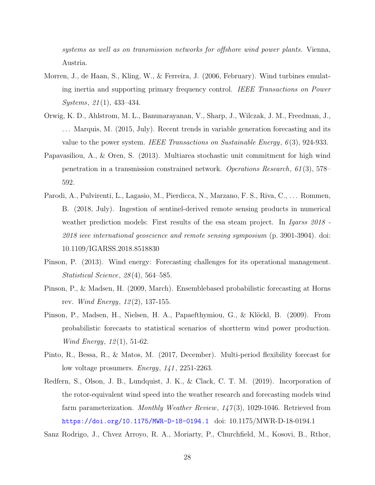systems as well as on transmission networks for offshore wind power plants. Vienna, Austria.

- <span id="page-27-9"></span>Morren, J., de Haan, S., Kling, W., & Ferreira, J. (2006, February). Wind turbines emulating inertia and supporting primary frequency control. IEEE Transactions on Power  $Systems, 21(1), 433-434.$
- <span id="page-27-5"></span>Orwig, K. D., Ahlstrom, M. L., Banunarayanan, V., Sharp, J., Wilczak, J. M., Freedman, J., . . . Marquis, M. (2015, July). Recent trends in variable generation forecasting and its value to the power system. IEEE Transactions on Sustainable Energy,  $6(3)$ , 924-933.
- <span id="page-27-7"></span>Papavasiliou, A., & Oren, S. (2013). Multiarea stochastic unit commitment for high wind penetration in a transmission constrained network. Operations Research, 61 (3), 578– 592.
- <span id="page-27-2"></span>Parodi, A., Pulvirenti, L., Lagasio, M., Pierdicca, N., Marzano, F. S., Riva, C., . . . Rommen, B. (2018, July). Ingestion of sentinel-derived remote sensing products in numerical weather prediction models: First results of the esa steam project. In Igarss 2018 -2018 ieee international geoscience and remote sensing symposium (p. 3901-3904). doi: 10.1109/IGARSS.2018.8518830
- <span id="page-27-6"></span>Pinson, P. (2013). Wind energy: Forecasting challenges for its operational management. Statistical Science, 28 (4), 564–585.
- <span id="page-27-3"></span>Pinson, P., & Madsen, H. (2009, March). Ensemblebased probabilistic forecasting at Horns rev. *Wind Energy*,  $12(2)$ , 137-155.
- <span id="page-27-4"></span>Pinson, P., Madsen, H., Nielsen, H. A., Papaefthymiou, G., & Klöckl, B. (2009). From probabilistic forecasts to statistical scenarios of shortterm wind power production. Wind Energy, 12 (1), 51-62.
- <span id="page-27-8"></span>Pinto, R., Bessa, R., & Matos, M. (2017, December). Multi-period flexibility forecast for low voltage prosumers. *Energy*, 141, 2251-2263.
- <span id="page-27-1"></span>Redfern, S., Olson, J. B., Lundquist, J. K., & Clack, C. T. M. (2019). Incorporation of the rotor-equivalent wind speed into the weather research and forecasting models wind farm parameterization. Monthly Weather Review,  $147(3)$ , 1029-1046. Retrieved from <https://doi.org/10.1175/MWR-D-18-0194.1> doi: 10.1175/MWR-D-18-0194.1

<span id="page-27-0"></span>Sanz Rodrigo, J., Chvez Arroyo, R. A., Moriarty, P., Churchfield, M., Kosovi, B., Rthor,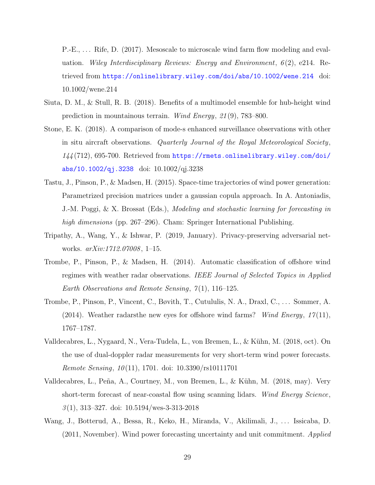P.-E., . . . Rife, D. (2017). Mesoscale to microscale wind farm flow modeling and evaluation. Wiley Interdisciplinary Reviews: Energy and Environment,  $6(2)$ , e214. Retrieved from <https://onlinelibrary.wiley.com/doi/abs/10.1002/wene.214> doi: 10.1002/wene.214

- <span id="page-28-0"></span>Siuta, D. M., & Stull, R. B. (2018). Benefits of a multimodel ensemble for hub-height wind prediction in mountainous terrain. Wind Energy, 21 (9), 783–800.
- <span id="page-28-6"></span>Stone, E. K. (2018). A comparison of mode-s enhanced surveillance observations with other in situ aircraft observations. Quarterly Journal of the Royal Meteorological Society,  $144(712)$ , 695-700. Retrieved from [https://rmets.onlinelibrary.wiley.com/doi/](https://rmets.onlinelibrary.wiley.com/doi/abs/10.1002/qj.3238) [abs/10.1002/qj.3238](https://rmets.onlinelibrary.wiley.com/doi/abs/10.1002/qj.3238) doi: 10.1002/qj.3238
- <span id="page-28-1"></span>Tastu, J., Pinson, P., & Madsen, H. (2015). Space-time trajectories of wind power generation: Parametrized precision matrices under a gaussian copula approach. In A. Antoniadis, J.-M. Poggi, & X. Brossat (Eds.), Modeling and stochastic learning for forecasting in high dimensions (pp. 267–296). Cham: Springer International Publishing.
- <span id="page-28-8"></span>Tripathy, A., Wang, Y., & Ishwar, P. (2019, January). Privacy-preserving adversarial networks.  $arXiv:1712.07008$ , 1-15.
- <span id="page-28-5"></span>Trombe, P., Pinson, P., & Madsen, H. (2014). Automatic classification of offshore wind regimes with weather radar observations. IEEE Journal of Selected Topics in Applied Earth Observations and Remote Sensing,  $7(1)$ , 116–125.
- <span id="page-28-2"></span>Trombe, P., Pinson, P., Vincent, C., Bøvith, T., Cutululis, N. A., Draxl, C., . . . Sommer, A. (2014). Weather radarsthe new eyes for offshore wind farms? Wind Energy,  $17(11)$ , 1767–1787.
- <span id="page-28-4"></span>Valldecabres, L., Nygaard, N., Vera-Tudela, L., von Bremen, L., & Kühn, M. (2018, oct). On the use of dual-doppler radar measurements for very short-term wind power forecasts. *Remote Sensing, 10*(11), 1701. doi:  $10.3390/\text{rs}10111701$
- <span id="page-28-3"></span>Valldecabres, L., Peña, A., Courtney, M., von Bremen, L., & Kühn, M. (2018, may). Very short-term forecast of near-coastal flow using scanning lidars. Wind Energy Science,  $3(1)$ , 313-327. doi:  $10.5194$ /wes-3-313-2018
- <span id="page-28-7"></span>Wang, J., Botterud, A., Bessa, R., Keko, H., Miranda, V., Akilimali, J., ... Issicaba, D. (2011, November). Wind power forecasting uncertainty and unit commitment. Applied